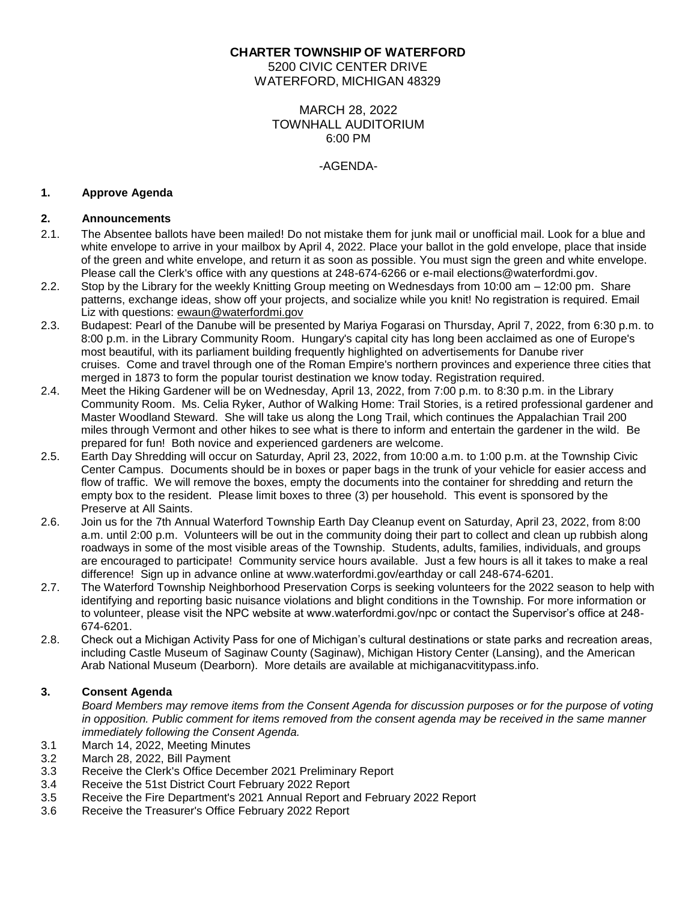# **CHARTER TOWNSHIP OF WATERFORD**

5200 CIVIC CENTER DRIVE WATERFORD, MICHIGAN 48329

## MARCH 28, 2022 TOWNHALL AUDITORIUM 6:00 PM

## -AGENDA-

#### **1. Approve Agenda**

### **2. Announcements**

- 2.1. The Absentee ballots have been mailed! Do not mistake them for junk mail or unofficial mail. Look for a blue and white envelope to arrive in your mailbox by April 4, 2022. Place your ballot in the gold envelope, place that inside of the green and white envelope, and return it as soon as possible. You must sign the green and white envelope. Please call the Clerk's office with any questions at 248-674-6266 or e-mail [elections@waterfordmi.gov.](mailto:elections@waterfordmi.gov)
- 2.2. Stop by the Library for the weekly Knitting Group meeting on Wednesdays from 10:00 am 12:00 pm. Share patterns, exchange ideas, show off your projects, and socialize while you knit! No registration is required. Email Liz with questions: [ewaun@waterfordmi.gov](mailto:ewaun@waterfordmi.gov)
- 2.3. Budapest: Pearl of the Danube will be presented by Mariya Fogarasi on Thursday, April 7, 2022, from 6:30 p.m. to 8:00 p.m. in the Library Community Room. Hungary's capital city has long been acclaimed as one of Europe's most beautiful, with its parliament building frequently highlighted on advertisements for Danube river cruises. Come and travel through one of the Roman Empire's northern provinces and experience three cities that merged in 1873 to form the popular tourist destination we know today. Registration required.
- 2.4. Meet the Hiking Gardener will be on Wednesday, April 13, 2022, from 7:00 p.m. to 8:30 p.m. in the Library Community Room. Ms. Celia Ryker, Author of Walking Home: Trail Stories, is a retired professional gardener and Master Woodland Steward. She will take us along the Long Trail, which continues the Appalachian Trail 200 miles through Vermont and other hikes to see what is there to inform and entertain the gardener in the wild. Be prepared for fun! Both novice and experienced gardeners are welcome.
- 2.5. Earth Day Shredding will occur on Saturday, April 23, 2022, from 10:00 a.m. to 1:00 p.m. at the Township Civic Center Campus. Documents should be in boxes or paper bags in the trunk of your vehicle for easier access and flow of traffic. We will remove the boxes, empty the documents into the container for shredding and return the empty box to the resident. Please limit boxes to three (3) per household. This event is sponsored by the Preserve at All Saints.
- 2.6. Join us for the 7th Annual Waterford Township Earth Day Cleanup event on Saturday, April 23, 2022, from 8:00 a.m. until 2:00 p.m. Volunteers will be out in the community doing their part to collect and clean up rubbish along roadways in some of the most visible areas of the Township. Students, adults, families, individuals, and groups are encouraged to participate! Community service hours available. Just a few hours is all it takes to make a real difference! Sign up in advance online at www.waterfordmi.gov/earthday or call 248-674-6201.
- 2.7. The Waterford Township Neighborhood Preservation Corps is seeking volunteers for the 2022 season to help with identifying and reporting basic nuisance violations and blight conditions in the Township. For more information or to volunteer, please visit the NPC website at www.waterfordmi.gov/npc or contact the Supervisor's office at 248- 674-6201.
- 2.8. Check out a Michigan Activity Pass for one of Michigan's cultural destinations or state parks and recreation areas, including Castle Museum of Saginaw County (Saginaw), Michigan History Center (Lansing), and the American Arab National Museum (Dearborn). More details are available at michiganacvititypass.info.

# **3. Consent Agenda**

*Board Members may remove items from the Consent Agenda for discussion purposes or for the purpose of voting in opposition. Public comment for items removed from the consent agenda may be received in the same manner immediately following the Consent Agenda.*

- 3.1 March 14, 2022, Meeting Minutes
- 3.2 March 28, 2022, Bill Payment
- 3.3 Receive the Clerk's Office December 2021 Preliminary Report
- 3.4 Receive the 51st District Court February 2022 Report
- 3.5 Receive the Fire Department's 2021 Annual Report and February 2022 Report
- 3.6 Receive the Treasurer's Office February 2022 Report